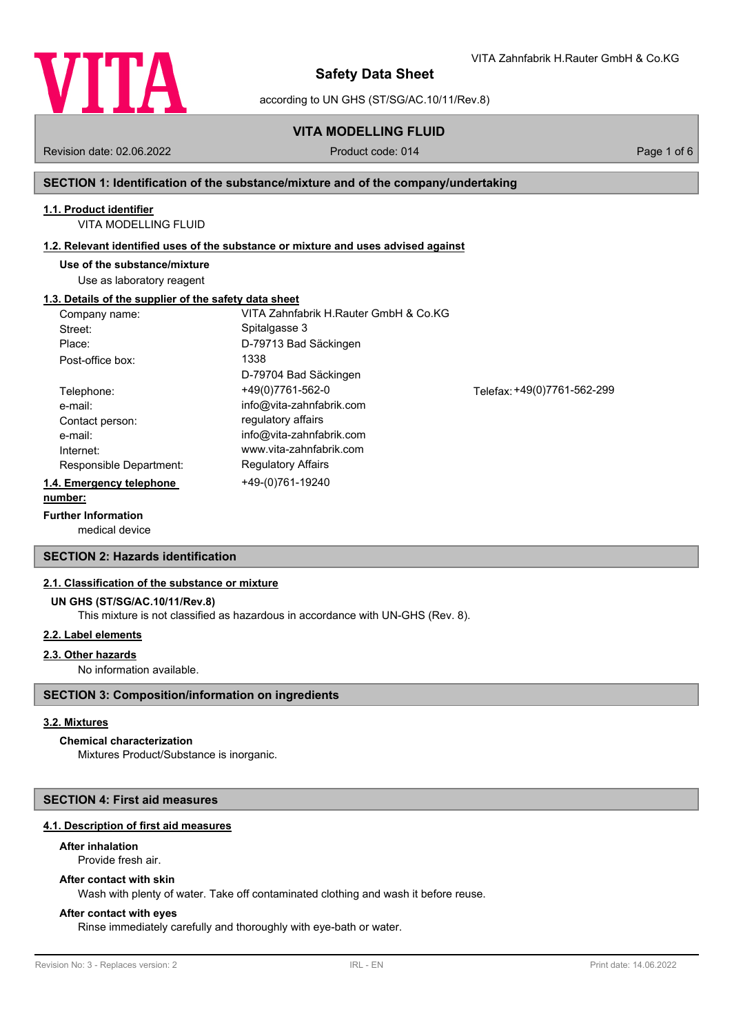

according to UN GHS (ST/SG/AC.10/11/Rev.8)

# **VITA MODELLING FLUID**

Revision date: 02.06.2022 Product code: 014 Page 1 of 6

VITA Zahnfabrik H.Rauter GmbH & Co.KG

#### **SECTION 1: Identification of the substance/mixture and of the company/undertaking**

# **1.1. Product identifier**

VITA MODELLING FLUID

#### **1.2. Relevant identified uses of the substance or mixture and uses advised against**

**Use of the substance/mixture**

Use as laboratory reagent

#### **1.3. Details of the supplier of the safety data sheet**

| Company name:            | VITA Zahnfabrik H.Rauter GmbH & Co.KG |                             |
|--------------------------|---------------------------------------|-----------------------------|
| Street:                  | Spitalgasse 3                         |                             |
| Place:                   | D-79713 Bad Säckingen                 |                             |
| Post-office box:         | 1338                                  |                             |
|                          | D-79704 Bad Säckingen                 |                             |
| Telephone:               | +49(0)7761-562-0                      | Telefax: +49(0)7761-562-299 |
| e-mail:                  | info@vita-zahnfabrik.com              |                             |
| Contact person:          | regulatory affairs                    |                             |
| e-mail:                  | info@vita-zahnfabrik.com              |                             |
| Internet:                | www.vita-zahnfabrik.com               |                             |
| Responsible Department:  | <b>Regulatory Affairs</b>             |                             |
| 1.4. Emergency telephone | +49-(0)761-19240                      |                             |
| number:                  |                                       |                             |

### **Further Information**

medical device

### **SECTION 2: Hazards identification**

#### **2.1. Classification of the substance or mixture**

#### **UN GHS (ST/SG/AC.10/11/Rev.8)**

This mixture is not classified as hazardous in accordance with UN-GHS (Rev. 8).

## **2.2. Label elements**

#### **2.3. Other hazards**

No information available.

## **SECTION 3: Composition/information on ingredients**

### **3.2. Mixtures**

# **Chemical characterization**

Mixtures Product/Substance is inorganic.

# **SECTION 4: First aid measures**

# **4.1. Description of first aid measures**

# **After inhalation**

Provide fresh air.

# **After contact with skin**

Wash with plenty of water. Take off contaminated clothing and wash it before reuse.

# **After contact with eyes**

Rinse immediately carefully and thoroughly with eye-bath or water.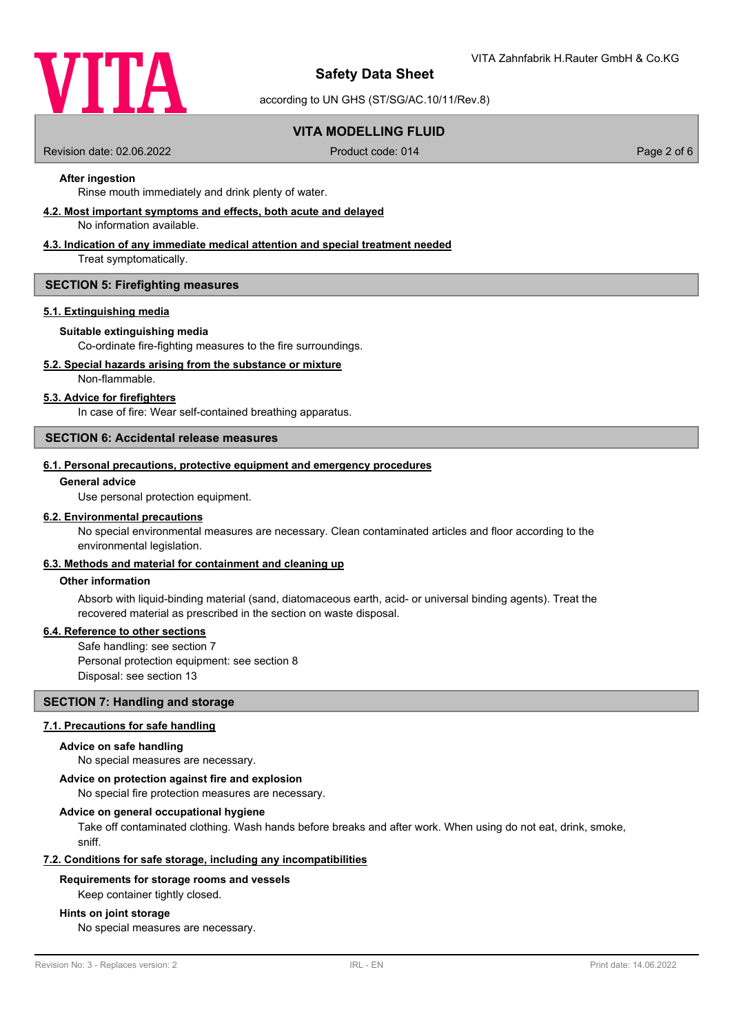

according to UN GHS (ST/SG/AC.10/11/Rev.8)

# **VITA MODELLING FLUID**

Revision date: 02.06.2022 Product code: 014 Page 2 of 6

# **After ingestion**

Rinse mouth immediately and drink plenty of water.

**4.2. Most important symptoms and effects, both acute and delayed**

No information available.

# **4.3. Indication of any immediate medical attention and special treatment needed**

Treat symptomatically.

#### **SECTION 5: Firefighting measures**

#### **5.1. Extinguishing media**

#### **Suitable extinguishing media**

Co-ordinate fire-fighting measures to the fire surroundings.

# **5.2. Special hazards arising from the substance or mixture**

Non-flammable.

#### **5.3. Advice for firefighters**

In case of fire: Wear self-contained breathing apparatus.

#### **SECTION 6: Accidental release measures**

#### **6.1. Personal precautions, protective equipment and emergency procedures**

#### **General advice**

Use personal protection equipment.

#### **6.2. Environmental precautions**

No special environmental measures are necessary. Clean contaminated articles and floor according to the environmental legislation.

# **6.3. Methods and material for containment and cleaning up**

#### **Other information**

Absorb with liquid-binding material (sand, diatomaceous earth, acid- or universal binding agents). Treat the recovered material as prescribed in the section on waste disposal.

#### **6.4. Reference to other sections**

Safe handling: see section 7 Personal protection equipment: see section 8 Disposal: see section 13

# **SECTION 7: Handling and storage**

#### **7.1. Precautions for safe handling**

#### **Advice on safe handling**

No special measures are necessary.

#### **Advice on protection against fire and explosion**

No special fire protection measures are necessary.

#### **Advice on general occupational hygiene**

Take off contaminated clothing. Wash hands before breaks and after work. When using do not eat, drink, smoke, sniff.

#### **7.2. Conditions for safe storage, including any incompatibilities**

#### **Requirements for storage rooms and vessels**

Keep container tightly closed.

#### **Hints on joint storage**

No special measures are necessary.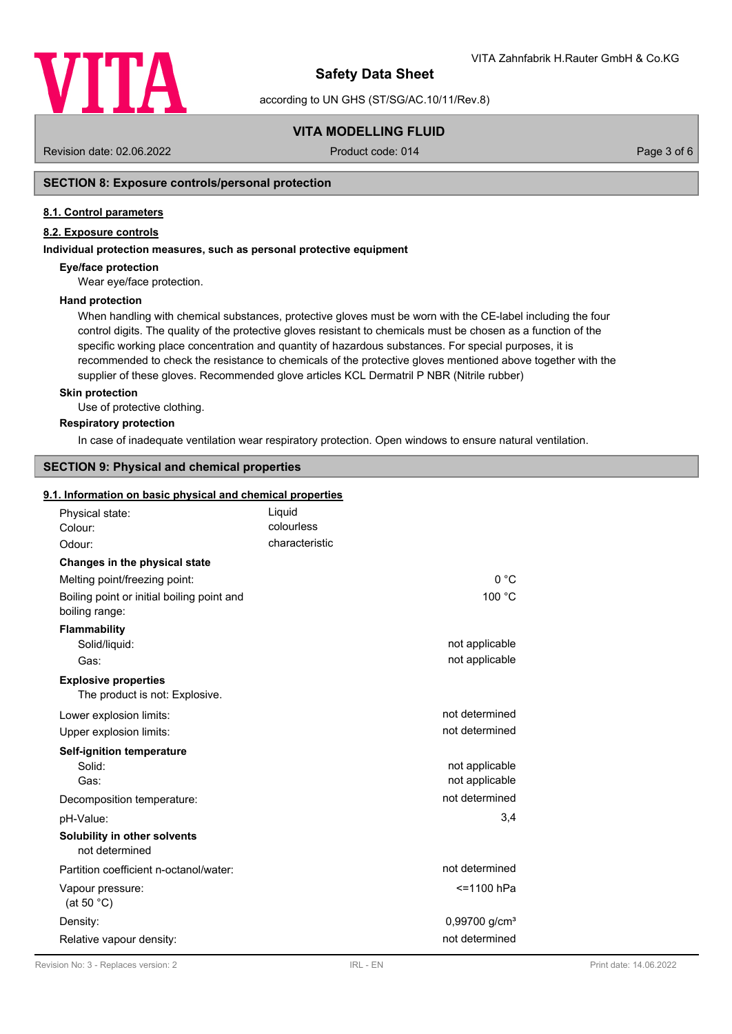

according to UN GHS (ST/SG/AC.10/11/Rev.8)

# **VITA MODELLING FLUID**

Revision date: 02.06.2022 Product code: 014 Page 3 of 6

# **SECTION 8: Exposure controls/personal protection**

#### **8.1. Control parameters**

# **8.2. Exposure controls**

#### **Individual protection measures, such as personal protective equipment**

#### **Eye/face protection**

Wear eye/face protection.

#### **Hand protection**

When handling with chemical substances, protective gloves must be worn with the CE-label including the four control digits. The quality of the protective gloves resistant to chemicals must be chosen as a function of the specific working place concentration and quantity of hazardous substances. For special purposes, it is recommended to check the resistance to chemicals of the protective gloves mentioned above together with the supplier of these gloves. Recommended glove articles KCL Dermatril P NBR (Nitrile rubber)

#### **Skin protection**

Use of protective clothing.

#### **Respiratory protection**

In case of inadequate ventilation wear respiratory protection. Open windows to ensure natural ventilation.

# **SECTION 9: Physical and chemical properties**

#### **9.1. Information on basic physical and chemical properties**

| Physical state:<br>Colour:                                    | Liquid<br>colourless |                           |
|---------------------------------------------------------------|----------------------|---------------------------|
| Odour:                                                        | characteristic       |                           |
| Changes in the physical state                                 |                      |                           |
| Melting point/freezing point:                                 |                      | 0 °C                      |
| Boiling point or initial boiling point and<br>boiling range:  |                      | 100 °C                    |
| <b>Flammability</b>                                           |                      |                           |
| Solid/liquid:                                                 |                      | not applicable            |
| Gas:                                                          |                      | not applicable            |
| <b>Explosive properties</b><br>The product is not: Explosive. |                      |                           |
| Lower explosion limits:                                       |                      | not determined            |
| Upper explosion limits:                                       |                      | not determined            |
| <b>Self-ignition temperature</b>                              |                      |                           |
| Solid:                                                        |                      | not applicable            |
| Gas:                                                          |                      | not applicable            |
| Decomposition temperature:                                    |                      | not determined            |
| pH-Value:                                                     |                      | 3,4                       |
| Solubility in other solvents<br>not determined                |                      |                           |
| Partition coefficient n-octanol/water:                        |                      | not determined            |
| Vapour pressure:<br>(at 50 $°C$ )                             |                      | <=1100 hPa                |
| Density:                                                      |                      | 0,99700 g/cm <sup>3</sup> |
| Relative vapour density:                                      |                      | not determined            |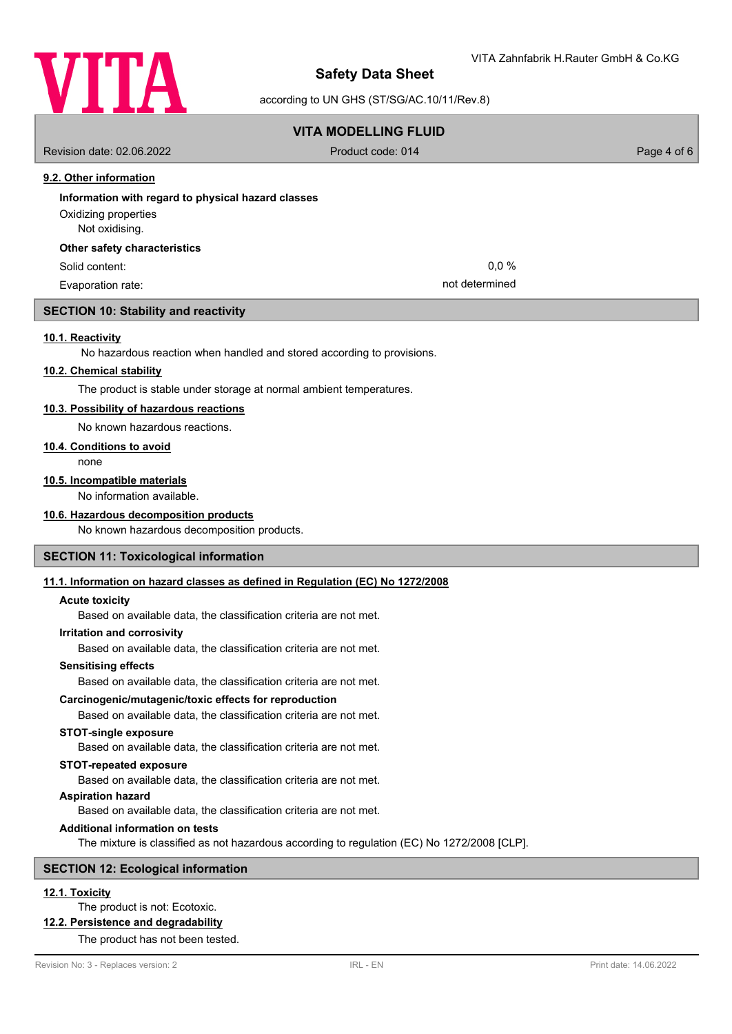

according to UN GHS (ST/SG/AC.10/11/Rev.8)

# **VITA MODELLING FLUID** Revision date: 02.06.2022 Product code: 014 Page 4 of 6 **9.2. Other information Information with regard to physical hazard classes** Not oxidising. Oxidizing properties

#### **Other safety characteristics**

Evaporation rate: not determined

### **SECTION 10: Stability and reactivity**

#### **10.1. Reactivity**

No hazardous reaction when handled and stored according to provisions.

#### **10.2. Chemical stability**

The product is stable under storage at normal ambient temperatures.

#### **10.3. Possibility of hazardous reactions**

No known hazardous reactions.

#### **10.4. Conditions to avoid**

none

# **10.5. Incompatible materials**

No information available.

### **10.6. Hazardous decomposition products**

No known hazardous decomposition products.

### **SECTION 11: Toxicological information**

#### **11.1. Information on hazard classes as defined in Regulation (EC) No 1272/2008**

#### **Acute toxicity**

Based on available data, the classification criteria are not met.

#### **Irritation and corrosivity**

Based on available data, the classification criteria are not met.

### **Sensitising effects**

Based on available data, the classification criteria are not met.

### **Carcinogenic/mutagenic/toxic effects for reproduction**

Based on available data, the classification criteria are not met.

#### **STOT-single exposure**

Based on available data, the classification criteria are not met.

#### **STOT-repeated exposure**

Based on available data, the classification criteria are not met.

# **Aspiration hazard**

Based on available data, the classification criteria are not met.

# **Additional information on tests**

The mixture is classified as not hazardous according to regulation (EC) No 1272/2008 [CLP].

# **SECTION 12: Ecological information**

# **12.1. Toxicity**

# The product is not: Ecotoxic.

**12.2. Persistence and degradability**

# The product has not been tested.

Solid content: 0,0 %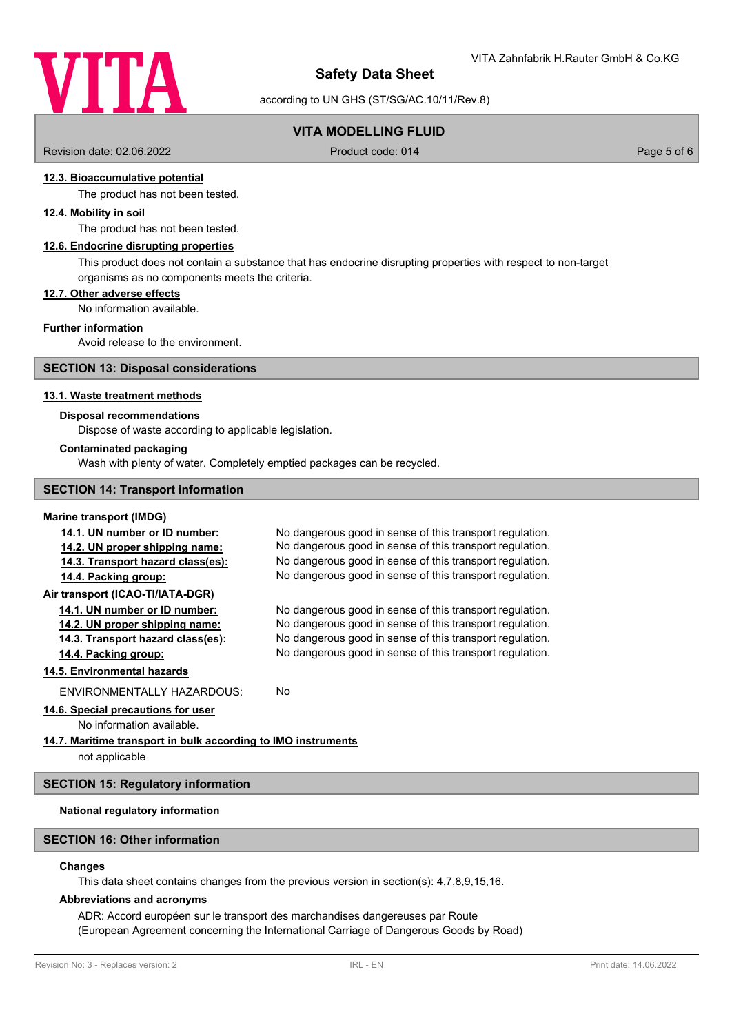

according to UN GHS (ST/SG/AC.10/11/Rev.8)

# **VITA MODELLING FLUID**

Revision date: 02.06.2022 Product code: 014 Page 5 of 6

# **12.3. Bioaccumulative potential**

The product has not been tested.

## **12.4. Mobility in soil**

The product has not been tested.

# **12.6. Endocrine disrupting properties**

This product does not contain a substance that has endocrine disrupting properties with respect to non-target organisms as no components meets the criteria.

#### **12.7. Other adverse effects**

No information available.

#### **Further information**

Avoid release to the environment.

#### **SECTION 13: Disposal considerations**

#### **13.1. Waste treatment methods**

#### **Disposal recommendations**

Dispose of waste according to applicable legislation.

#### **Contaminated packaging**

Wash with plenty of water. Completely emptied packages can be recycled.

#### **SECTION 14: Transport information**

#### **Marine transport (IMDG)**

| 14.1. UN number or ID number:     | No dangerous good in sense of this transport regulation. |
|-----------------------------------|----------------------------------------------------------|
| 14.2. UN proper shipping name:    | No dangerous good in sense of this transport regulation. |
| 14.3. Transport hazard class(es): | No dangerous good in sense of this transport regulation. |
| 14.4. Packing group:              | No dangerous good in sense of this transport regulation. |
| Air transport (ICAO-TI/IATA-DGR)  |                                                          |
| 14.1. UN number or ID number:     | No dangerous good in sense of this transport regulation. |
| 14.2. UN proper shipping name:    | No dangerous good in sense of this transport regulation. |
| 14.3. Transport hazard class(es): | No dangerous good in sense of this transport regulation. |
| 14.4. Packing group:              | No dangerous good in sense of this transport regulation. |
| 14.5. Environmental hazards       |                                                          |
| ENVIRONMENTALLY HAZARDOUS:        | No.                                                      |
|                                   |                                                          |

# **14.6. Special precautions for user**

No information available.

# **14.7. Maritime transport in bulk according to IMO instruments**

not applicable

#### **SECTION 15: Regulatory information**

# **National regulatory information**

# **SECTION 16: Other information**

#### **Changes**

This data sheet contains changes from the previous version in section(s): 4,7,8,9,15,16.

#### **Abbreviations and acronyms**

ADR: Accord européen sur le transport des marchandises dangereuses par Route (European Agreement concerning the International Carriage of Dangerous Goods by Road)